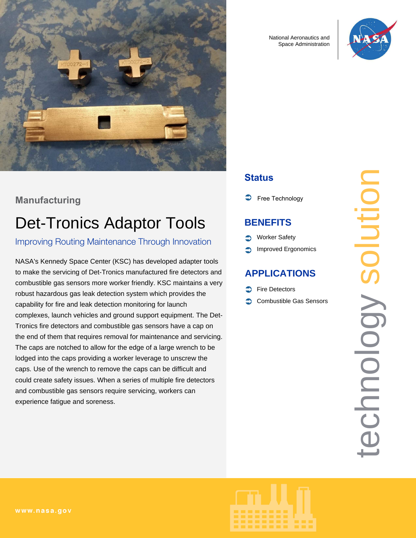

## **Manufacturing**

# Det-Tronics Adaptor Tools

## Improving Routing Maintenance Through Innovation

NASA's Kennedy Space Center (KSC) has developed adapter tools to make the servicing of Det-Tronics manufactured fire detectors and combustible gas sensors more worker friendly. KSC maintains a very robust hazardous gas leak detection system which provides the capability for fire and leak detection monitoring for launch complexes, launch vehicles and ground support equipment. The Det-Tronics fire detectors and combustible gas sensors have a cap on the end of them that requires removal for maintenance and servicing. The caps are notched to allow for the edge of a large wrench to be lodged into the caps providing a worker leverage to unscrew the caps. Use of the wrench to remove the caps can be difficult and could create safety issues. When a series of multiple fire detectors and combustible gas sensors require servicing, workers can experience fatigue and soreness.

National Aeronautics and Space Administration



### **Status**

**T** Free Technology

#### **BENEFITS**

- Worker Safety
- Improved Ergonomics ◠

#### **APPLICATIONS**

- Fire Detectors
- Combustible Gas Sensors

technology solution echnology solution